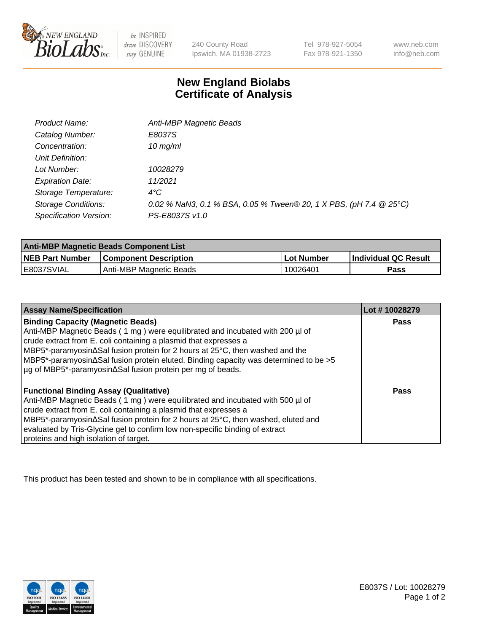

 $be$  INSPIRED drive DISCOVERY stay GENUINE

240 County Road Ipswich, MA 01938-2723

Tel 978-927-5054 Fax 978-921-1350 www.neb.com info@neb.com

## **New England Biolabs Certificate of Analysis**

| Product Name:              | Anti-MBP Magnetic Beads                                            |
|----------------------------|--------------------------------------------------------------------|
| Catalog Number:            | E8037S                                                             |
| Concentration:             | $10$ mg/ml                                                         |
| Unit Definition:           |                                                                    |
| Lot Number:                | 10028279                                                           |
| <b>Expiration Date:</b>    | 11/2021                                                            |
| Storage Temperature:       | $4^{\circ}$ C                                                      |
| <b>Storage Conditions:</b> | 0.02 % NaN3, 0.1 % BSA, 0.05 % Tween® 20, 1 X PBS, (pH 7.4 @ 25°C) |
| Specification Version:     | PS-E8037S v1.0                                                     |

| <b>Anti-MBP Magnetic Beads Component List</b> |                              |            |                      |  |
|-----------------------------------------------|------------------------------|------------|----------------------|--|
| <b>NEB Part Number</b>                        | <b>Component Description</b> | Lot Number | Individual QC Result |  |
| IE8037SVIAL                                   | Anti-MBP Magnetic Beads      | 10026401   | Pass                 |  |

| <b>Assay Name/Specification</b>                                                                    | Lot #10028279 |
|----------------------------------------------------------------------------------------------------|---------------|
| <b>Binding Capacity (Magnetic Beads)</b>                                                           | Pass          |
| Anti-MBP Magnetic Beads (1 mg) were equilibrated and incubated with 200 µl of                      |               |
| crude extract from E. coli containing a plasmid that expresses a                                   |               |
| $MBP5$ *-paramyosin $\Delta$ Sal fusion protein for 2 hours at 25 $\degree$ C, then washed and the |               |
| MBP5*-paramyosin∆Sal fusion protein eluted. Binding capacity was determined to be >5               |               |
| µg of MBP5*-paramyosin∆Sal fusion protein per mg of beads.                                         |               |
| <b>Functional Binding Assay (Qualitative)</b>                                                      | Pass          |
| Anti-MBP Magnetic Beads (1 mg) were equilibrated and incubated with 500 µl of                      |               |
| crude extract from E. coli containing a plasmid that expresses a                                   |               |
| MBP5*-paramyosin∆Sal fusion protein for 2 hours at 25°C, then washed, eluted and                   |               |
| evaluated by Tris-Glycine gel to confirm low non-specific binding of extract                       |               |
| proteins and high isolation of target.                                                             |               |

This product has been tested and shown to be in compliance with all specifications.